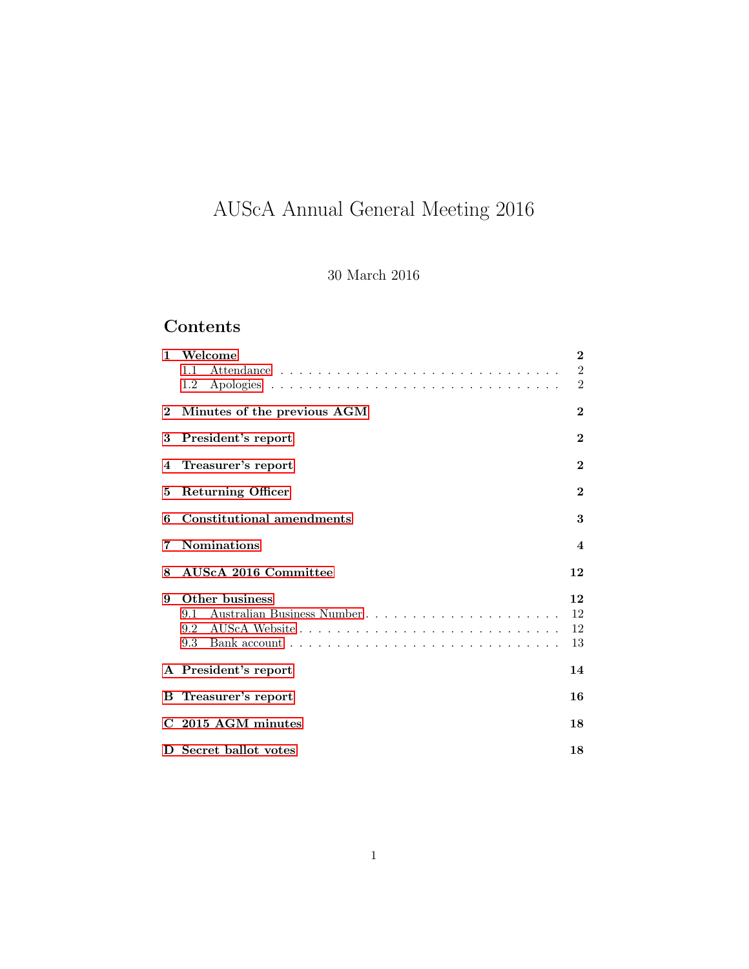# AUScA Annual General Meeting 2016

### 30 March 2016

## Contents

| $\mathbf{1}$ | Welcome<br>1.1<br>1.2                                                                                                                                                    | $\bf{2}$<br>$\overline{2}$<br>$\overline{2}$ |
|--------------|--------------------------------------------------------------------------------------------------------------------------------------------------------------------------|----------------------------------------------|
|              | 2 Minutes of the previous AGM                                                                                                                                            | $\bf{2}$                                     |
| 3            | President's report                                                                                                                                                       | $\bf{2}$                                     |
|              | 4 Treasurer's report                                                                                                                                                     | $\mathbf{2}$                                 |
| 5.           | <b>Returning Officer</b>                                                                                                                                                 | $\bf{2}$                                     |
| 6            | <b>Constitutional amendments</b>                                                                                                                                         | 3                                            |
| 7            | <b>Nominations</b>                                                                                                                                                       | $\overline{\mathbf{4}}$                      |
| 8            | AUScA 2016 Committee                                                                                                                                                     | 12                                           |
| 9            | Other business<br>Australian Business Number<br>9.1<br>9.3 Bank account $\ldots$ , $\ldots$ , $\ldots$ , $\ldots$ , $\ldots$ , $\ldots$ , $\ldots$ , $\ldots$ , $\ldots$ | 12<br>12<br>12<br>13                         |
|              | A President's report                                                                                                                                                     | 14                                           |
|              | <b>B</b> Treasurer's report                                                                                                                                              | 16                                           |
|              | C 2015 AGM minutes                                                                                                                                                       | 18                                           |
|              | D Secret ballot votes                                                                                                                                                    | 18                                           |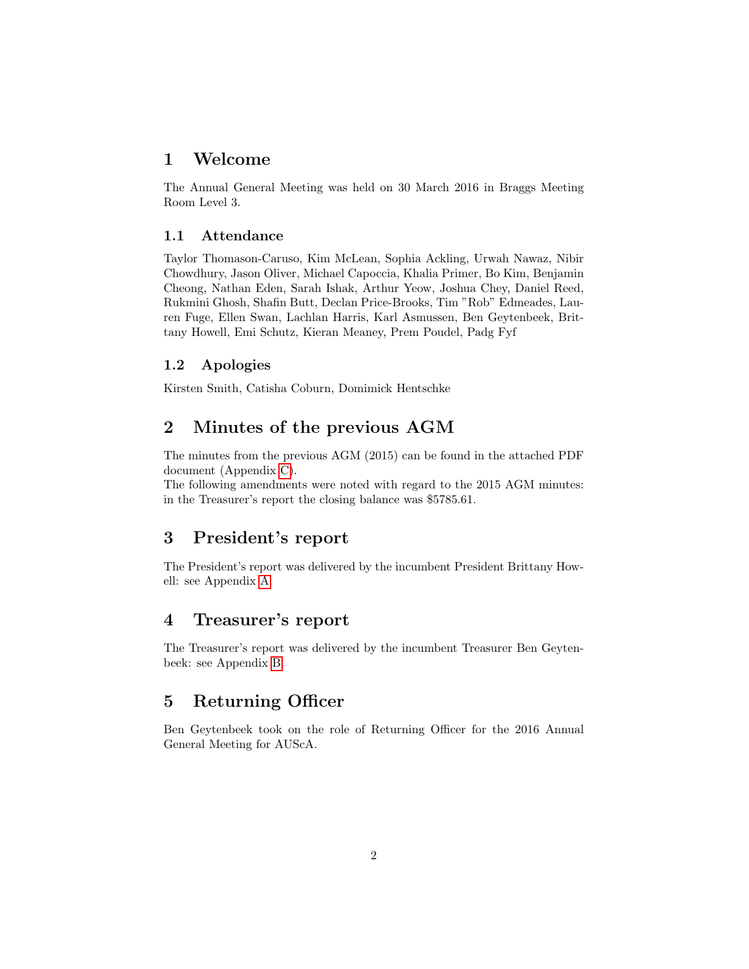### <span id="page-1-0"></span>1 Welcome

The Annual General Meeting was held on 30 March 2016 in Braggs Meeting Room Level 3.

#### <span id="page-1-1"></span>1.1 Attendance

Taylor Thomason-Caruso, Kim McLean, Sophia Ackling, Urwah Nawaz, Nibir Chowdhury, Jason Oliver, Michael Capoccia, Khalia Primer, Bo Kim, Benjamin Cheong, Nathan Eden, Sarah Ishak, Arthur Yeow, Joshua Chey, Daniel Reed, Rukmini Ghosh, Shafin Butt, Declan Price-Brooks, Tim "Rob" Edmeades, Lauren Fuge, Ellen Swan, Lachlan Harris, Karl Asmussen, Ben Geytenbeek, Brittany Howell, Emi Schutz, Kieran Meaney, Prem Poudel, Padg Fyf

#### <span id="page-1-2"></span>1.2 Apologies

Kirsten Smith, Catisha Coburn, Domimick Hentschke

### <span id="page-1-3"></span>2 Minutes of the previous AGM

The minutes from the previous AGM (2015) can be found in the attached PDF document (Appendix [C\)](#page-17-0).

The following amendments were noted with regard to the 2015 AGM minutes: in the Treasurer's report the closing balance was \$5785.61.

### <span id="page-1-4"></span>3 President's report

The President's report was delivered by the incumbent President Brittany Howell: see Appendix [A.](#page-13-0)

### <span id="page-1-5"></span>4 Treasurer's report

The Treasurer's report was delivered by the incumbent Treasurer Ben Geytenbeek: see Appendix [B.](#page-15-0)

### <span id="page-1-6"></span>5 Returning Officer

Ben Geytenbeek took on the role of Returning Officer for the 2016 Annual General Meeting for AUScA.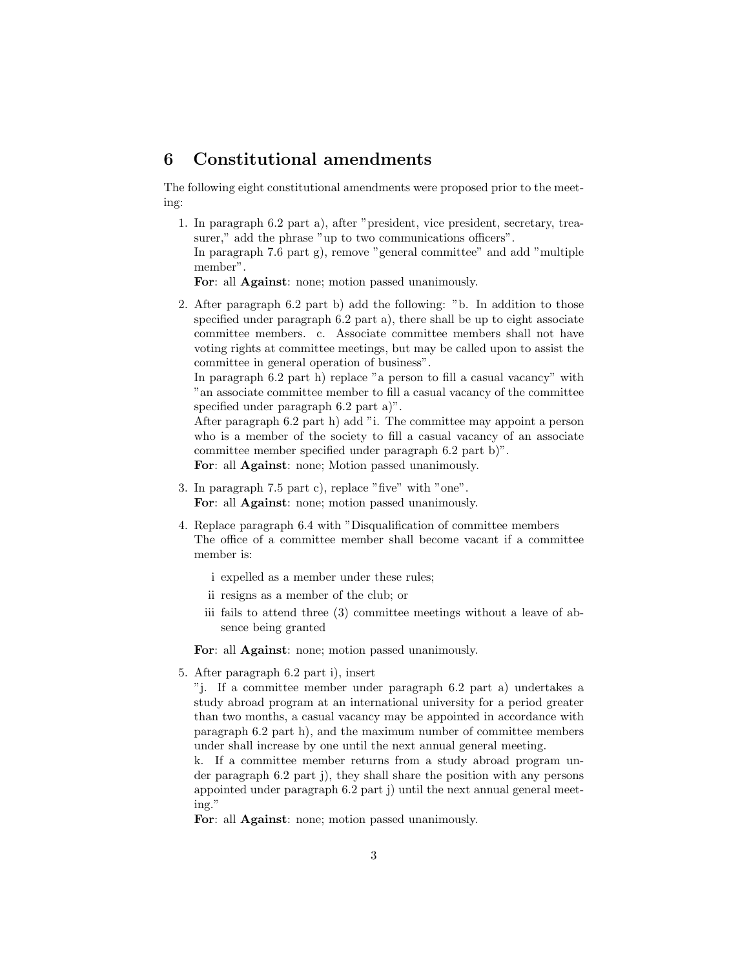### <span id="page-2-0"></span>6 Constitutional amendments

The following eight constitutional amendments were proposed prior to the meeting:

1. In paragraph 6.2 part a), after "president, vice president, secretary, treasurer," add the phrase "up to two communications officers". In paragraph 7.6 part g), remove "general committee" and add "multiple member".

For: all Against: none; motion passed unanimously.

2. After paragraph 6.2 part b) add the following: "b. In addition to those specified under paragraph 6.2 part a), there shall be up to eight associate committee members. c. Associate committee members shall not have voting rights at committee meetings, but may be called upon to assist the committee in general operation of business".

In paragraph 6.2 part h) replace "a person to fill a casual vacancy" with "an associate committee member to fill a casual vacancy of the committee specified under paragraph 6.2 part a)".

After paragraph 6.2 part h) add "i. The committee may appoint a person who is a member of the society to fill a casual vacancy of an associate committee member specified under paragraph 6.2 part b)".

For: all Against: none; Motion passed unanimously.

- 3. In paragraph 7.5 part c), replace "five" with "one". For: all Against: none; motion passed unanimously.
- 4. Replace paragraph 6.4 with "Disqualification of committee members The office of a committee member shall become vacant if a committee member is:
	- i expelled as a member under these rules;
	- ii resigns as a member of the club; or
	- iii fails to attend three (3) committee meetings without a leave of absence being granted

For: all Against: none; motion passed unanimously.

5. After paragraph 6.2 part i), insert

"j. If a committee member under paragraph 6.2 part a) undertakes a study abroad program at an international university for a period greater than two months, a casual vacancy may be appointed in accordance with paragraph 6.2 part h), and the maximum number of committee members under shall increase by one until the next annual general meeting.

k. If a committee member returns from a study abroad program under paragraph 6.2 part j), they shall share the position with any persons appointed under paragraph 6.2 part j) until the next annual general meeting."

For: all Against: none; motion passed unanimously.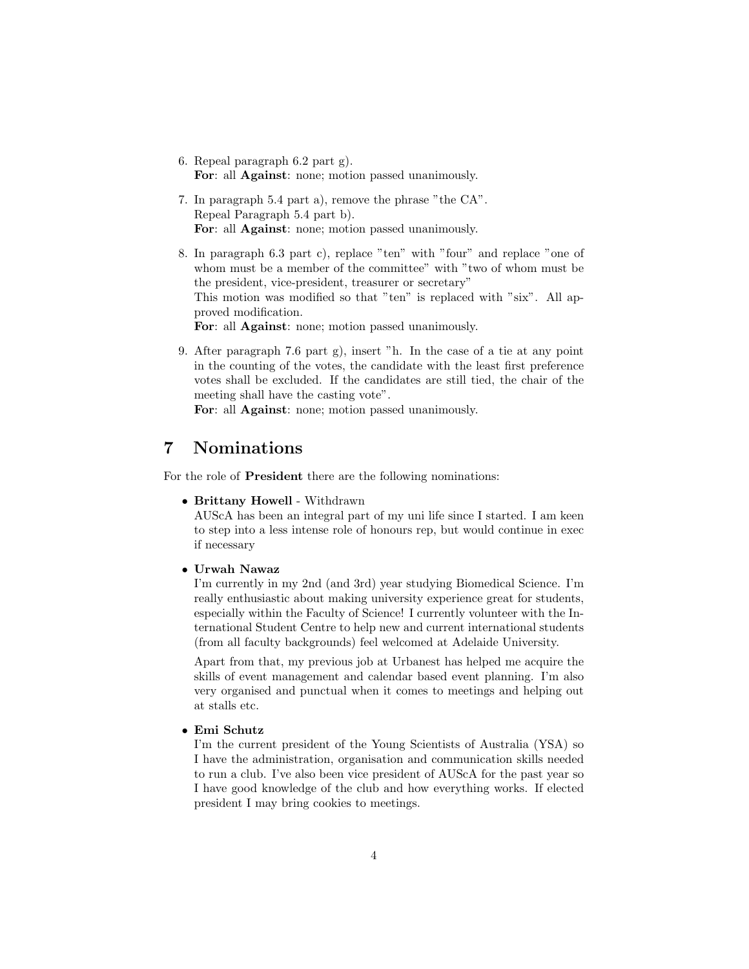- 6. Repeal paragraph 6.2 part g). For: all Against: none; motion passed unanimously.
- 7. In paragraph 5.4 part a), remove the phrase "the CA". Repeal Paragraph 5.4 part b). For: all Against: none; motion passed unanimously.
- 8. In paragraph 6.3 part c), replace "ten" with "four" and replace "one of whom must be a member of the committee" with "two of whom must be the president, vice-president, treasurer or secretary" This motion was modified so that "ten" is replaced with "six". All approved modification. For: all Against: none; motion passed unanimously.

9. After paragraph 7.6 part g), insert "h. In the case of a tie at any point in the counting of the votes, the candidate with the least first preference votes shall be excluded. If the candidates are still tied, the chair of the meeting shall have the casting vote".

For: all Against: none; motion passed unanimously.

### <span id="page-3-0"></span>7 Nominations

For the role of President there are the following nominations:

• Brittany Howell - Withdrawn

AUScA has been an integral part of my uni life since I started. I am keen to step into a less intense role of honours rep, but would continue in exec if necessary

#### • Urwah Nawaz

I'm currently in my 2nd (and 3rd) year studying Biomedical Science. I'm really enthusiastic about making university experience great for students, especially within the Faculty of Science! I currently volunteer with the International Student Centre to help new and current international students (from all faculty backgrounds) feel welcomed at Adelaide University.

Apart from that, my previous job at Urbanest has helped me acquire the skills of event management and calendar based event planning. I'm also very organised and punctual when it comes to meetings and helping out at stalls etc.

#### • Emi Schutz

I'm the current president of the Young Scientists of Australia (YSA) so I have the administration, organisation and communication skills needed to run a club. I've also been vice president of AUScA for the past year so I have good knowledge of the club and how everything works. If elected president I may bring cookies to meetings.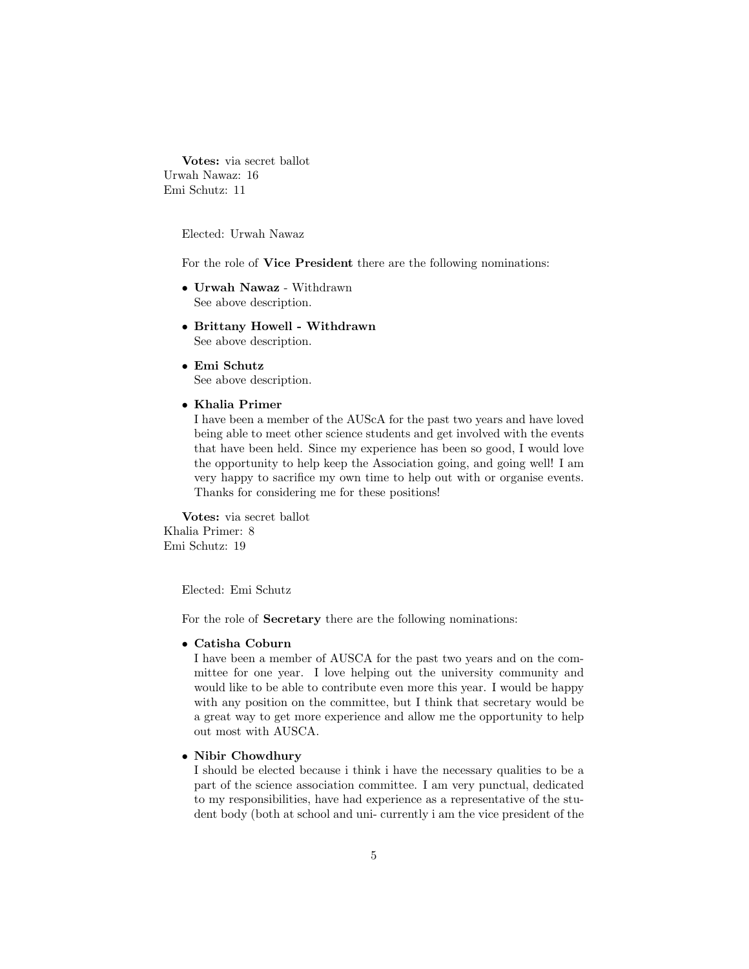Votes: via secret ballot Urwah Nawaz: 16 Emi Schutz: 11

Elected: Urwah Nawaz

For the role of Vice President there are the following nominations:

- Urwah Nawaz Withdrawn See above description.
- Brittany Howell Withdrawn See above description.
- Emi Schutz See above description.
- Khalia Primer

I have been a member of the AUScA for the past two years and have loved being able to meet other science students and get involved with the events that have been held. Since my experience has been so good, I would love the opportunity to help keep the Association going, and going well! I am very happy to sacrifice my own time to help out with or organise events. Thanks for considering me for these positions!

Votes: via secret ballot Khalia Primer: 8 Emi Schutz: 19

Elected: Emi Schutz

For the role of Secretary there are the following nominations:

#### • Catisha Coburn

I have been a member of AUSCA for the past two years and on the committee for one year. I love helping out the university community and would like to be able to contribute even more this year. I would be happy with any position on the committee, but I think that secretary would be a great way to get more experience and allow me the opportunity to help out most with AUSCA.

#### • Nibir Chowdhury

I should be elected because i think i have the necessary qualities to be a part of the science association committee. I am very punctual, dedicated to my responsibilities, have had experience as a representative of the student body (both at school and uni- currently i am the vice president of the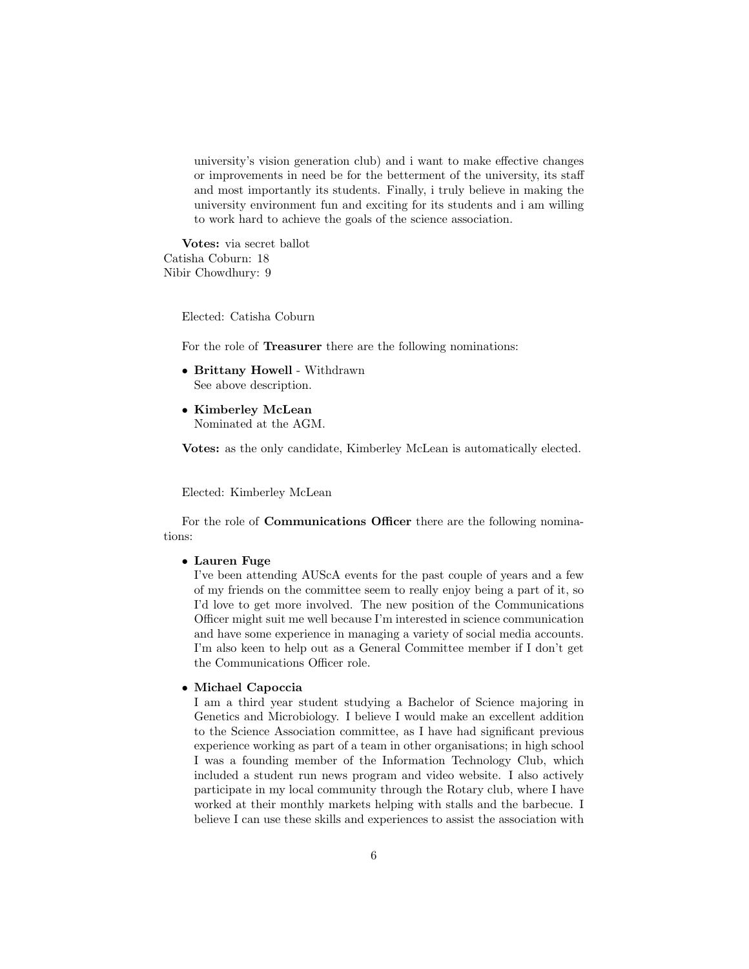university's vision generation club) and i want to make effective changes or improvements in need be for the betterment of the university, its staff and most importantly its students. Finally, i truly believe in making the university environment fun and exciting for its students and i am willing to work hard to achieve the goals of the science association.

Votes: via secret ballot Catisha Coburn: 18 Nibir Chowdhury: 9

Elected: Catisha Coburn

For the role of Treasurer there are the following nominations:

- Brittany Howell Withdrawn See above description.
- Kimberley McLean Nominated at the AGM.

Votes: as the only candidate, Kimberley McLean is automatically elected.

Elected: Kimberley McLean

For the role of **Communications Officer** there are the following nominations:

#### • Lauren Fuge

I've been attending AUScA events for the past couple of years and a few of my friends on the committee seem to really enjoy being a part of it, so I'd love to get more involved. The new position of the Communications Officer might suit me well because I'm interested in science communication and have some experience in managing a variety of social media accounts. I'm also keen to help out as a General Committee member if I don't get the Communications Officer role.

#### • Michael Capoccia

I am a third year student studying a Bachelor of Science majoring in Genetics and Microbiology. I believe I would make an excellent addition to the Science Association committee, as I have had significant previous experience working as part of a team in other organisations; in high school I was a founding member of the Information Technology Club, which included a student run news program and video website. I also actively participate in my local community through the Rotary club, where I have worked at their monthly markets helping with stalls and the barbecue. I believe I can use these skills and experiences to assist the association with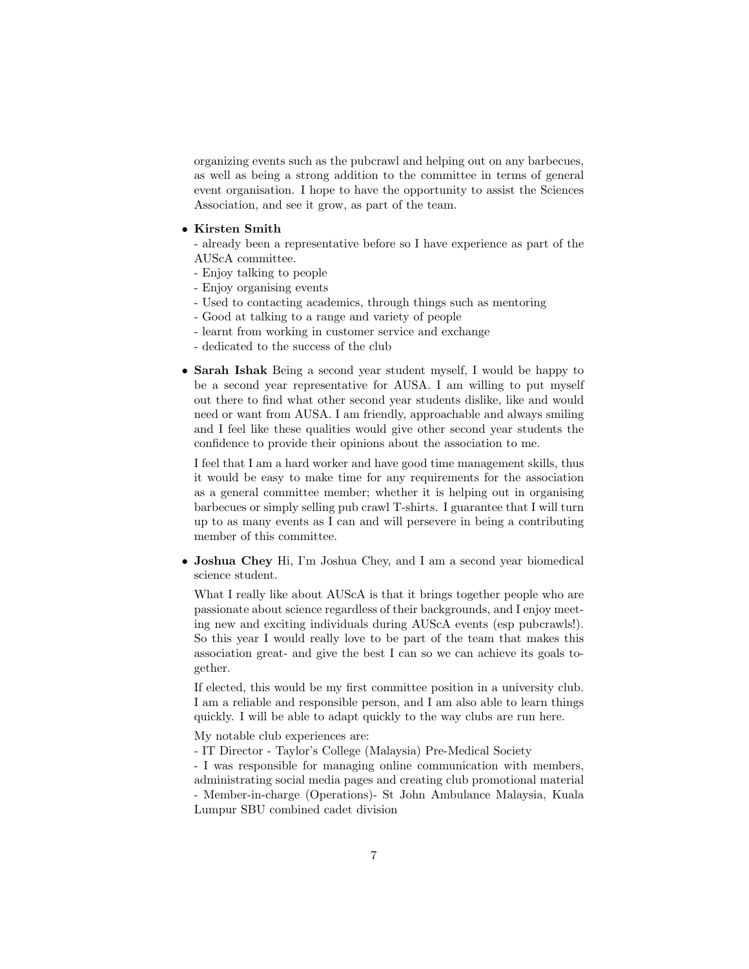organizing events such as the pubcrawl and helping out on any barbecues, as well as being a strong addition to the committee in terms of general event organisation. I hope to have the opportunity to assist the Sciences Association, and see it grow, as part of the team.

#### • Kirsten Smith

- already been a representative before so I have experience as part of the AUScA committee.

- Enjoy talking to people
- Enjoy organising events
- Used to contacting academics, through things such as mentoring
- Good at talking to a range and variety of people
- learnt from working in customer service and exchange
- dedicated to the success of the club
- Sarah Ishak Being a second year student myself, I would be happy to be a second year representative for AUSA. I am willing to put myself out there to find what other second year students dislike, like and would need or want from AUSA. I am friendly, approachable and always smiling and I feel like these qualities would give other second year students the confidence to provide their opinions about the association to me.

I feel that I am a hard worker and have good time management skills, thus it would be easy to make time for any requirements for the association as a general committee member; whether it is helping out in organising barbecues or simply selling pub crawl T-shirts. I guarantee that I will turn up to as many events as I can and will persevere in being a contributing member of this committee.

• Joshua Chey Hi, I'm Joshua Chey, and I am a second year biomedical science student.

What I really like about AUScA is that it brings together people who are passionate about science regardless of their backgrounds, and I enjoy meeting new and exciting individuals during AUScA events (esp pubcrawls!). So this year I would really love to be part of the team that makes this association great- and give the best I can so we can achieve its goals together.

If elected, this would be my first committee position in a university club. I am a reliable and responsible person, and I am also able to learn things quickly. I will be able to adapt quickly to the way clubs are run here.

My notable club experiences are:

- IT Director - Taylor's College (Malaysia) Pre-Medical Society

- I was responsible for managing online communication with members, administrating social media pages and creating club promotional material - Member-in-charge (Operations)- St John Ambulance Malaysia, Kuala Lumpur SBU combined cadet division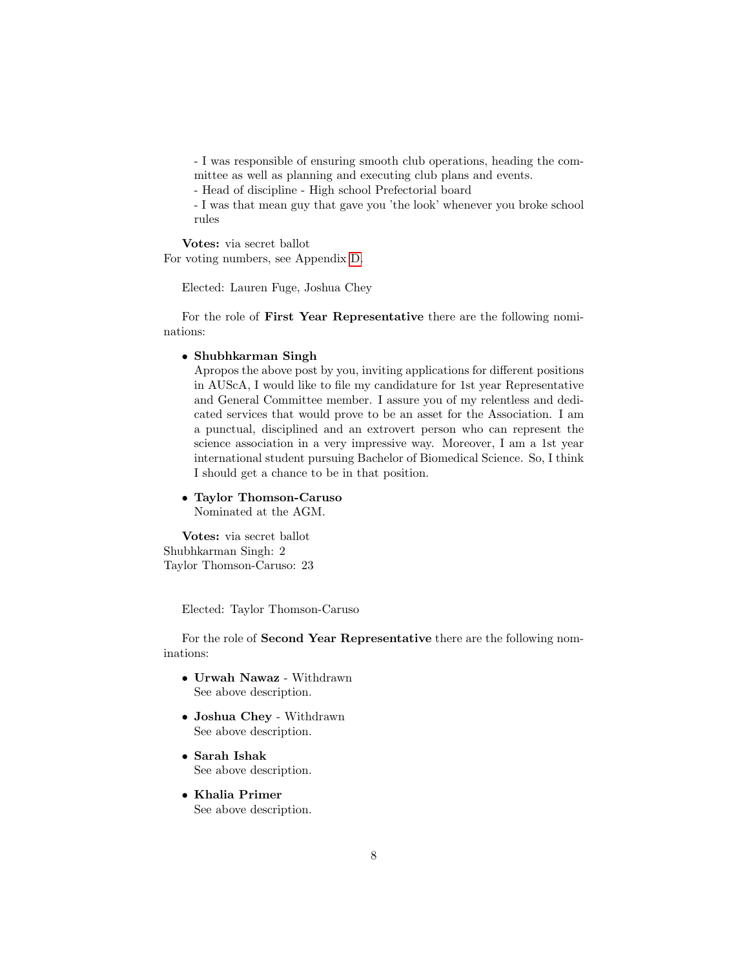- I was responsible of ensuring smooth club operations, heading the committee as well as planning and executing club plans and events.

- Head of discipline - High school Prefectorial board

- I was that mean guy that gave you 'the look' whenever you broke school rules

Votes: via secret ballot For voting numbers, see Appendix [D.](#page-17-1)

Elected: Lauren Fuge, Joshua Chey

For the role of First Year Representative there are the following nominations:

#### • Shubhkarman Singh

Apropos the above post by you, inviting applications for different positions in AUScA, I would like to file my candidature for 1st year Representative and General Committee member. I assure you of my relentless and dedicated services that would prove to be an asset for the Association. I am a punctual, disciplined and an extrovert person who can represent the science association in a very impressive way. Moreover, I am a 1st year international student pursuing Bachelor of Biomedical Science. So, I think I should get a chance to be in that position.

#### • Taylor Thomson-Caruso Nominated at the AGM.

Votes: via secret ballot Shubhkarman Singh: 2 Taylor Thomson-Caruso: 23

Elected: Taylor Thomson-Caruso

For the role of Second Year Representative there are the following nominations:

- Urwah Nawaz Withdrawn See above description.
- Joshua Chey Withdrawn See above description.
- Sarah Ishak See above description.
- Khalia Primer See above description.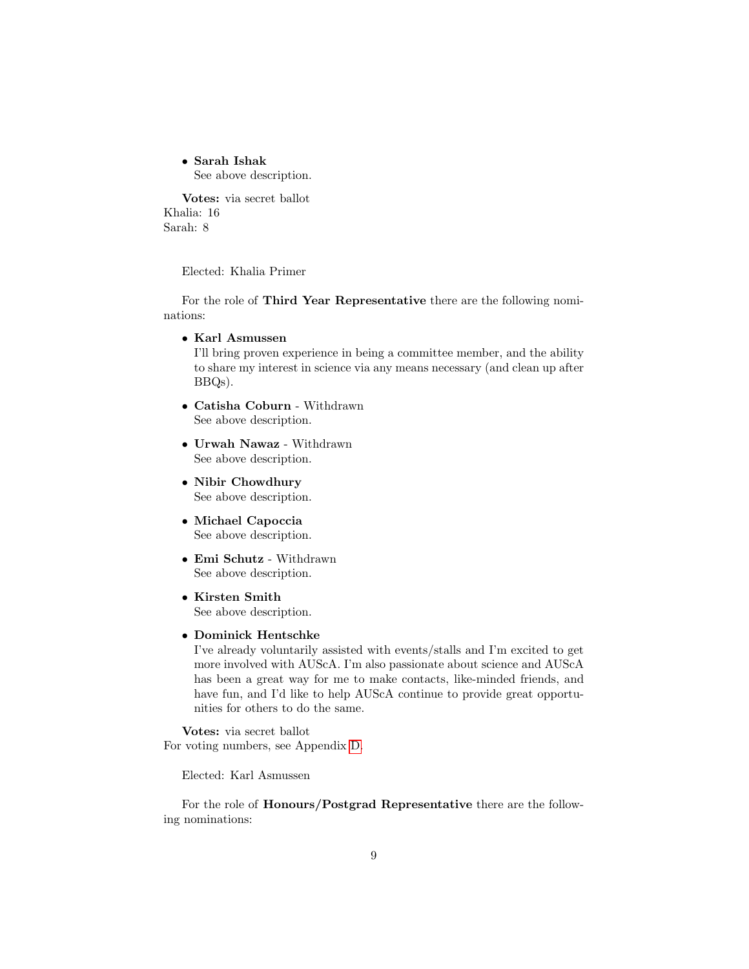• Sarah Ishak See above description.

Votes: via secret ballot Khalia: 16 Sarah: 8

Elected: Khalia Primer

For the role of Third Year Representative there are the following nominations:

• Karl Asmussen

I'll bring proven experience in being a committee member, and the ability to share my interest in science via any means necessary (and clean up after BBQs).

- Catisha Coburn Withdrawn See above description.
- Urwah Nawaz Withdrawn See above description.
- Nibir Chowdhury See above description.
- Michael Capoccia See above description.
- Emi Schutz Withdrawn See above description.
- Kirsten Smith See above description.
- Dominick Hentschke

I've already voluntarily assisted with events/stalls and I'm excited to get more involved with AUScA. I'm also passionate about science and AUScA has been a great way for me to make contacts, like-minded friends, and have fun, and I'd like to help AUScA continue to provide great opportunities for others to do the same.

Votes: via secret ballot For voting numbers, see Appendix [D.](#page-17-1)

Elected: Karl Asmussen

For the role of Honours/Postgrad Representative there are the following nominations: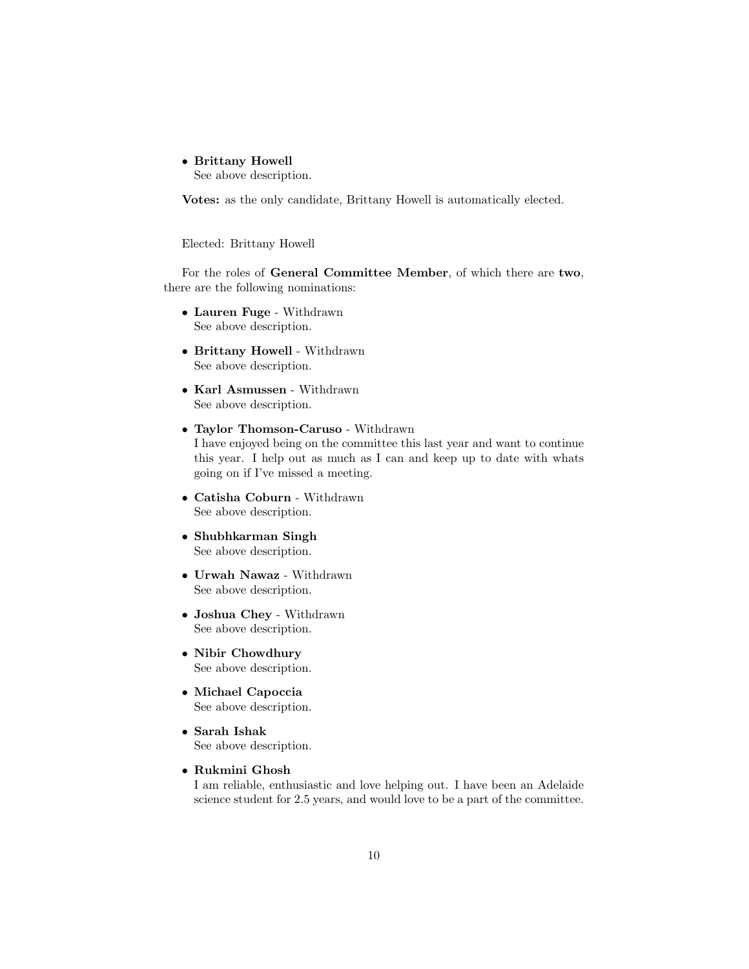• Brittany Howell

See above description.

Votes: as the only candidate, Brittany Howell is automatically elected.

Elected: Brittany Howell

For the roles of General Committee Member, of which there are two, there are the following nominations:

- Lauren Fuge Withdrawn See above description.
- Brittany Howell Withdrawn See above description.
- Karl Asmussen Withdrawn See above description.
- Taylor Thomson-Caruso Withdrawn I have enjoyed being on the committee this last year and want to continue this year. I help out as much as I can and keep up to date with whats going on if I've missed a meeting.
- Catisha Coburn Withdrawn See above description.
- Shubhkarman Singh See above description.
- Urwah Nawaz Withdrawn See above description.
- Joshua Chey Withdrawn See above description.
- Nibir Chowdhury See above description.
- Michael Capoccia See above description.
- Sarah Ishak See above description.
- Rukmini Ghosh

I am reliable, enthusiastic and love helping out. I have been an Adelaide science student for 2.5 years, and would love to be a part of the committee.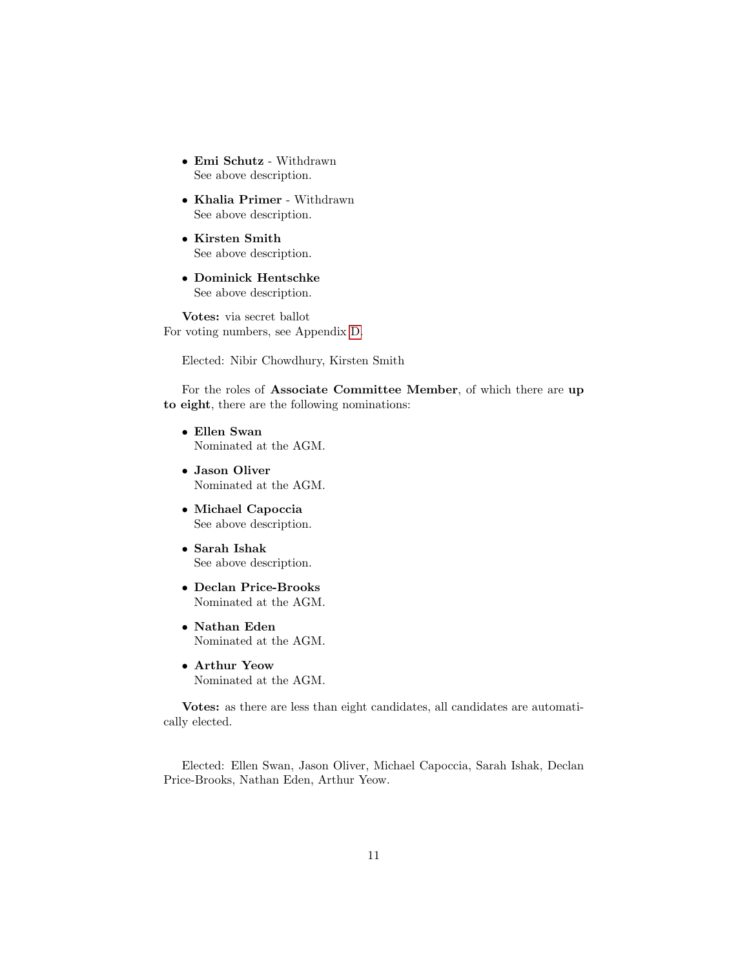- Emi Schutz Withdrawn See above description.
- Khalia Primer Withdrawn See above description.
- Kirsten Smith See above description.
- Dominick Hentschke See above description.

Votes: via secret ballot For voting numbers, see Appendix [D.](#page-17-1)

Elected: Nibir Chowdhury, Kirsten Smith

For the roles of Associate Committee Member, of which there are up to eight, there are the following nominations:

- Ellen Swan Nominated at the AGM.
- Jason Oliver Nominated at the AGM.
- Michael Capoccia See above description.
- Sarah Ishak See above description.
- Declan Price-Brooks Nominated at the AGM.
- Nathan Eden Nominated at the AGM.
- Arthur Yeow Nominated at the AGM.

Votes: as there are less than eight candidates, all candidates are automatically elected.

Elected: Ellen Swan, Jason Oliver, Michael Capoccia, Sarah Ishak, Declan Price-Brooks, Nathan Eden, Arthur Yeow.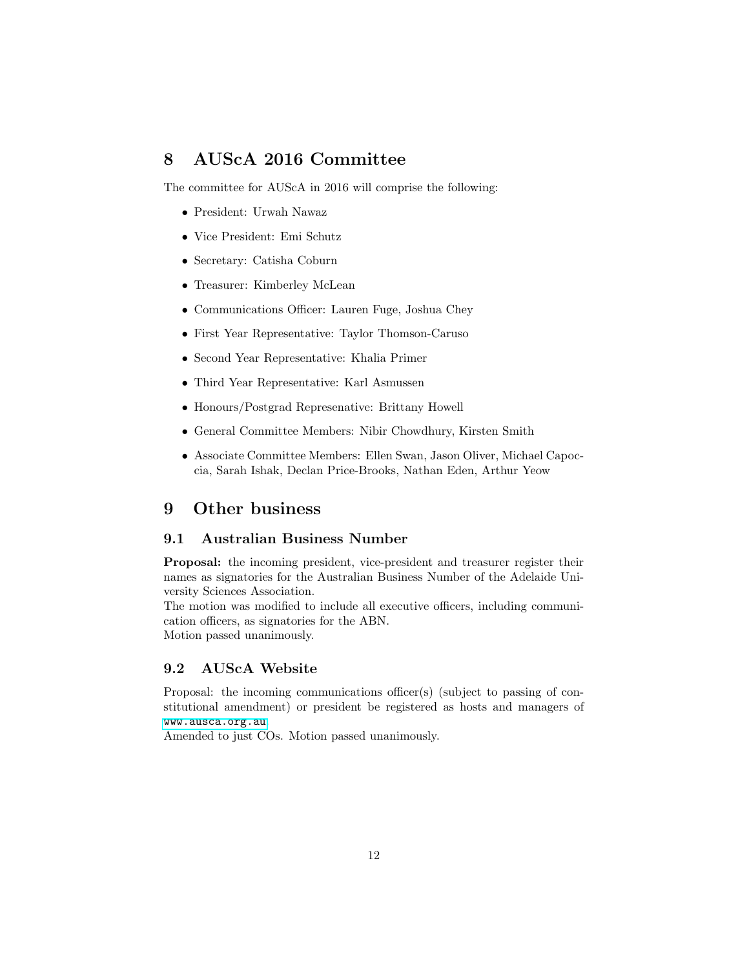### <span id="page-11-0"></span>8 AUScA 2016 Committee

The committee for AUScA in 2016 will comprise the following:

- President: Urwah Nawaz
- Vice President: Emi Schutz
- Secretary: Catisha Coburn
- Treasurer: Kimberley McLean
- Communications Officer: Lauren Fuge, Joshua Chey
- First Year Representative: Taylor Thomson-Caruso
- Second Year Representative: Khalia Primer
- Third Year Representative: Karl Asmussen
- Honours/Postgrad Represenative: Brittany Howell
- General Committee Members: Nibir Chowdhury, Kirsten Smith
- Associate Committee Members: Ellen Swan, Jason Oliver, Michael Capoccia, Sarah Ishak, Declan Price-Brooks, Nathan Eden, Arthur Yeow

### <span id="page-11-1"></span>9 Other business

#### <span id="page-11-2"></span>9.1 Australian Business Number

Proposal: the incoming president, vice-president and treasurer register their names as signatories for the Australian Business Number of the Adelaide University Sciences Association.

The motion was modified to include all executive officers, including communication officers, as signatories for the ABN. Motion passed unanimously.

#### <span id="page-11-3"></span>9.2 AUScA Website

Proposal: the incoming communications officer(s) (subject to passing of constitutional amendment) or president be registered as hosts and managers of <www.ausca.org.au>.

Amended to just COs. Motion passed unanimously.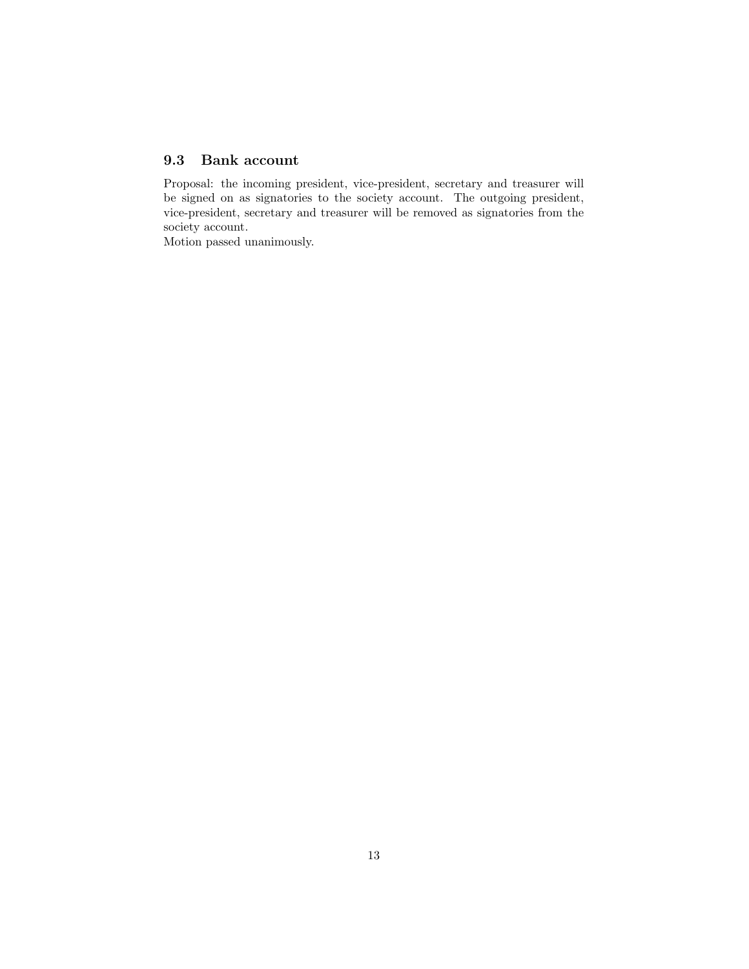### <span id="page-12-0"></span>9.3 Bank account

Proposal: the incoming president, vice-president, secretary and treasurer will be signed on as signatories to the society account. The outgoing president, vice-president, secretary and treasurer will be removed as signatories from the society account.

Motion passed unanimously.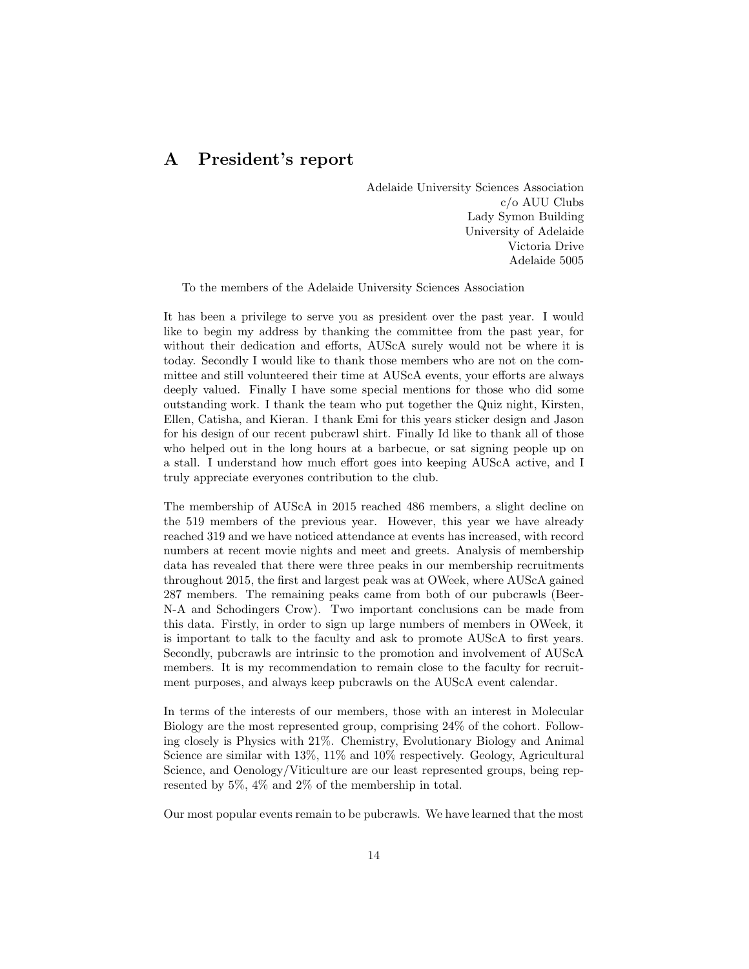### <span id="page-13-0"></span>A President's report

Adelaide University Sciences Association c/o AUU Clubs Lady Symon Building University of Adelaide Victoria Drive Adelaide 5005

To the members of the Adelaide University Sciences Association

It has been a privilege to serve you as president over the past year. I would like to begin my address by thanking the committee from the past year, for without their dedication and efforts, AUScA surely would not be where it is today. Secondly I would like to thank those members who are not on the committee and still volunteered their time at AUScA events, your efforts are always deeply valued. Finally I have some special mentions for those who did some outstanding work. I thank the team who put together the Quiz night, Kirsten, Ellen, Catisha, and Kieran. I thank Emi for this years sticker design and Jason for his design of our recent pubcrawl shirt. Finally Id like to thank all of those who helped out in the long hours at a barbecue, or sat signing people up on a stall. I understand how much effort goes into keeping AUScA active, and I truly appreciate everyones contribution to the club.

The membership of AUScA in 2015 reached 486 members, a slight decline on the 519 members of the previous year. However, this year we have already reached 319 and we have noticed attendance at events has increased, with record numbers at recent movie nights and meet and greets. Analysis of membership data has revealed that there were three peaks in our membership recruitments throughout 2015, the first and largest peak was at OWeek, where AUScA gained 287 members. The remaining peaks came from both of our pubcrawls (Beer-N-A and Schodingers Crow). Two important conclusions can be made from this data. Firstly, in order to sign up large numbers of members in OWeek, it is important to talk to the faculty and ask to promote AUScA to first years. Secondly, pubcrawls are intrinsic to the promotion and involvement of AUScA members. It is my recommendation to remain close to the faculty for recruitment purposes, and always keep pubcrawls on the AUScA event calendar.

In terms of the interests of our members, those with an interest in Molecular Biology are the most represented group, comprising 24% of the cohort. Following closely is Physics with 21%. Chemistry, Evolutionary Biology and Animal Science are similar with 13%, 11% and 10% respectively. Geology, Agricultural Science, and Oenology/Viticulture are our least represented groups, being represented by 5%, 4% and 2% of the membership in total.

Our most popular events remain to be pubcrawls. We have learned that the most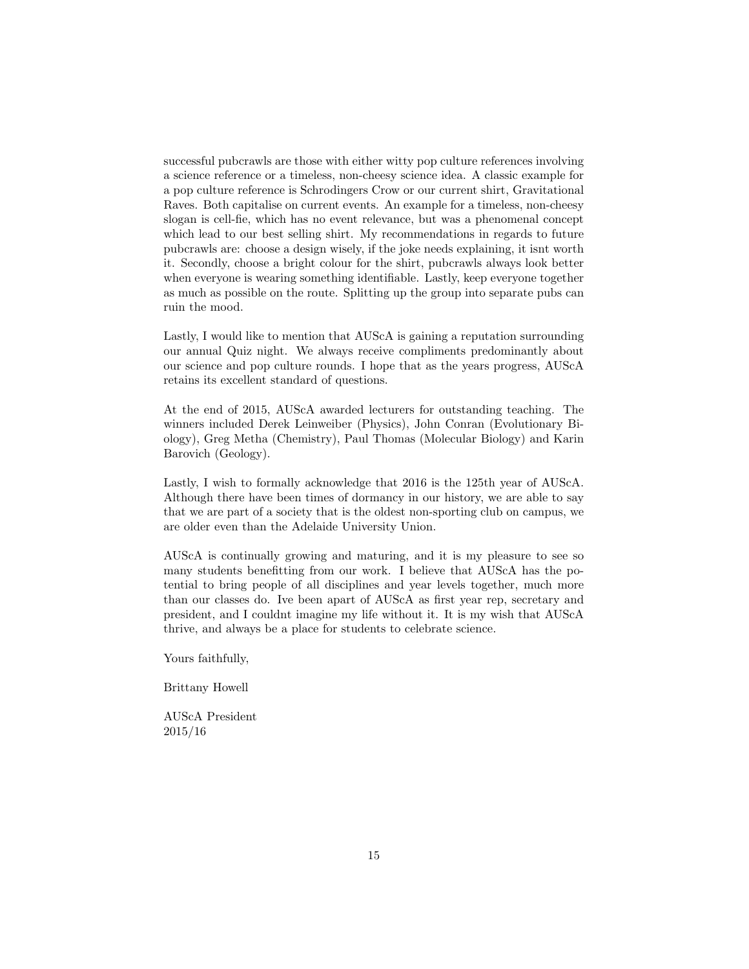successful pubcrawls are those with either witty pop culture references involving a science reference or a timeless, non-cheesy science idea. A classic example for a pop culture reference is Schrodingers Crow or our current shirt, Gravitational Raves. Both capitalise on current events. An example for a timeless, non-cheesy slogan is cell-fie, which has no event relevance, but was a phenomenal concept which lead to our best selling shirt. My recommendations in regards to future pubcrawls are: choose a design wisely, if the joke needs explaining, it isnt worth it. Secondly, choose a bright colour for the shirt, pubcrawls always look better when everyone is wearing something identifiable. Lastly, keep everyone together as much as possible on the route. Splitting up the group into separate pubs can ruin the mood.

Lastly, I would like to mention that AUScA is gaining a reputation surrounding our annual Quiz night. We always receive compliments predominantly about our science and pop culture rounds. I hope that as the years progress, AUScA retains its excellent standard of questions.

At the end of 2015, AUScA awarded lecturers for outstanding teaching. The winners included Derek Leinweiber (Physics), John Conran (Evolutionary Biology), Greg Metha (Chemistry), Paul Thomas (Molecular Biology) and Karin Barovich (Geology).

Lastly, I wish to formally acknowledge that 2016 is the 125th year of AUScA. Although there have been times of dormancy in our history, we are able to say that we are part of a society that is the oldest non-sporting club on campus, we are older even than the Adelaide University Union.

AUScA is continually growing and maturing, and it is my pleasure to see so many students benefitting from our work. I believe that AUScA has the potential to bring people of all disciplines and year levels together, much more than our classes do. Ive been apart of AUScA as first year rep, secretary and president, and I couldnt imagine my life without it. It is my wish that AUScA thrive, and always be a place for students to celebrate science.

Yours faithfully,

Brittany Howell

AUScA President 2015/16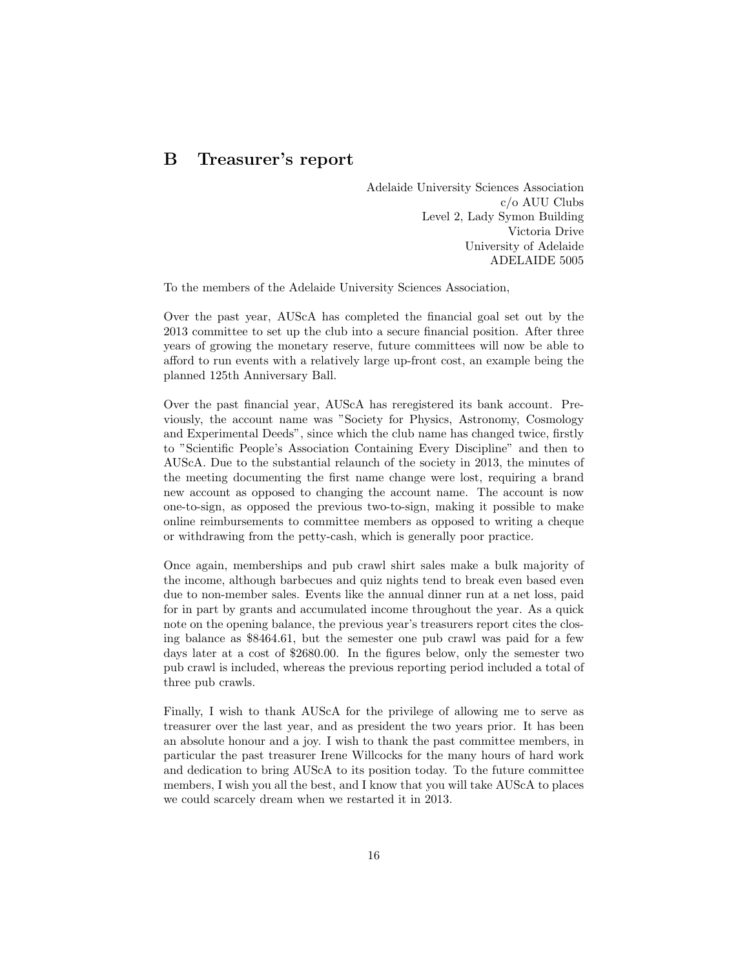### <span id="page-15-0"></span>B Treasurer's report

Adelaide University Sciences Association c/o AUU Clubs Level 2, Lady Symon Building Victoria Drive University of Adelaide ADELAIDE 5005

To the members of the Adelaide University Sciences Association,

Over the past year, AUScA has completed the financial goal set out by the 2013 committee to set up the club into a secure financial position. After three years of growing the monetary reserve, future committees will now be able to afford to run events with a relatively large up-front cost, an example being the planned 125th Anniversary Ball.

Over the past financial year, AUScA has reregistered its bank account. Previously, the account name was "Society for Physics, Astronomy, Cosmology and Experimental Deeds", since which the club name has changed twice, firstly to "Scientific People's Association Containing Every Discipline" and then to AUScA. Due to the substantial relaunch of the society in 2013, the minutes of the meeting documenting the first name change were lost, requiring a brand new account as opposed to changing the account name. The account is now one-to-sign, as opposed the previous two-to-sign, making it possible to make online reimbursements to committee members as opposed to writing a cheque or withdrawing from the petty-cash, which is generally poor practice.

Once again, memberships and pub crawl shirt sales make a bulk majority of the income, although barbecues and quiz nights tend to break even based even due to non-member sales. Events like the annual dinner run at a net loss, paid for in part by grants and accumulated income throughout the year. As a quick note on the opening balance, the previous year's treasurers report cites the closing balance as \$8464.61, but the semester one pub crawl was paid for a few days later at a cost of \$2680.00. In the figures below, only the semester two pub crawl is included, whereas the previous reporting period included a total of three pub crawls.

Finally, I wish to thank AUScA for the privilege of allowing me to serve as treasurer over the last year, and as president the two years prior. It has been an absolute honour and a joy. I wish to thank the past committee members, in particular the past treasurer Irene Willcocks for the many hours of hard work and dedication to bring AUScA to its position today. To the future committee members, I wish you all the best, and I know that you will take AUScA to places we could scarcely dream when we restarted it in 2013.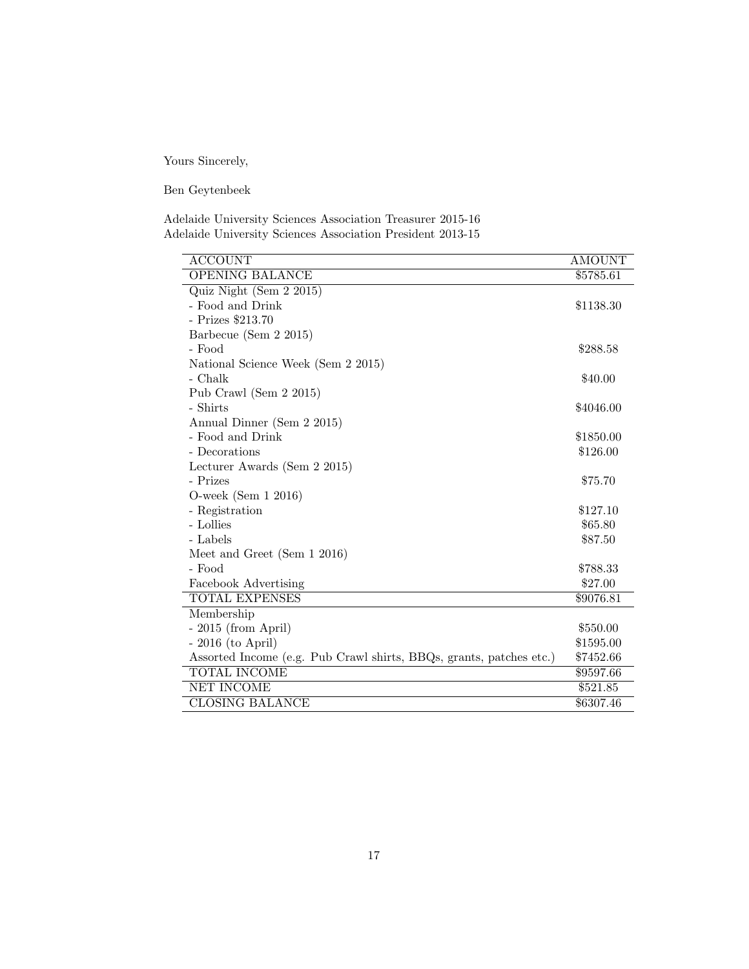Yours Sincerely,

Ben Geytenbeek

Adelaide University Sciences Association Treasurer 2015-16 Adelaide University Sciences Association President 2013-15

| <b>ACCOUNT</b>                                                      | <b>AMOUNT</b> |
|---------------------------------------------------------------------|---------------|
| <b>OPENING BALANCE</b>                                              | \$5785.61     |
| Quiz Night (Sem 2 2015)                                             |               |
| - Food and Drink                                                    | \$1138.30     |
| - Prizes \$213.70                                                   |               |
| Barbecue (Sem 2 2015)                                               |               |
| - Food                                                              | \$288.58      |
| National Science Week (Sem 2 2015)                                  |               |
| - Chalk                                                             | \$40.00       |
| Pub Crawl (Sem $2\ 2015$ )                                          |               |
| - Shirts                                                            | \$4046.00     |
| Annual Dinner (Sem 2 2015)                                          |               |
| - Food and Drink                                                    | \$1850.00     |
| - Decorations                                                       | \$126.00      |
| Lecturer Awards (Sem 2 2015)                                        |               |
| - Prizes                                                            | \$75.70       |
| O-week (Sem $12016$ )                                               |               |
| - Registration                                                      | \$127.10      |
| - Lollies                                                           | \$65.80       |
| - Labels                                                            | \$87.50       |
| Meet and Greet (Sem $1\ 2016$ )                                     |               |
| - Food                                                              | \$788.33      |
| Facebook Advertising                                                | \$27.00       |
| TOTAL EXPENSES                                                      | \$9076.81     |
| Membership                                                          |               |
| $-2015$ (from April)                                                | \$550.00      |
| $-2016$ (to April)                                                  | \$1595.00     |
| Assorted Income (e.g. Pub Crawl shirts, BBQs, grants, patches etc.) | \$7452.66     |
| <b>TOTAL INCOME</b>                                                 | \$9597.66     |
| NET INCOME                                                          | \$521.85      |
| <b>CLOSING BALANCE</b>                                              | \$6307.46     |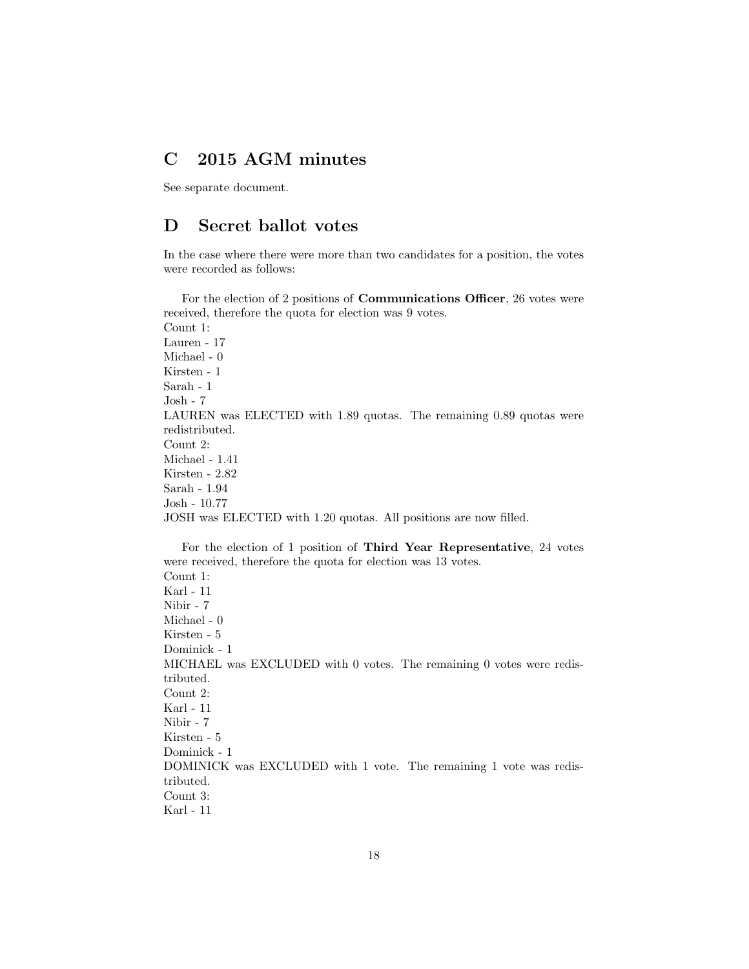### <span id="page-17-0"></span>C 2015 AGM minutes

See separate document.

### <span id="page-17-1"></span>D Secret ballot votes

In the case where there were more than two candidates for a position, the votes were recorded as follows:

For the election of 2 positions of Communications Officer, 26 votes were received, therefore the quota for election was 9 votes. Count 1: Lauren - 17 Michael - 0 Kirsten - 1 Sarah - 1 Josh - 7 LAUREN was ELECTED with 1.89 quotas. The remaining 0.89 quotas were redistributed. Count 2: Michael - 1.41 Kirsten - 2.82 Sarah - 1.94 Josh - 10.77 JOSH was ELECTED with 1.20 quotas. All positions are now filled.

For the election of 1 position of Third Year Representative, 24 votes were received, therefore the quota for election was 13 votes. Count 1: Karl - 11 Nibir - 7 Michael - 0 Kirsten - 5 Dominick - 1 MICHAEL was EXCLUDED with 0 votes. The remaining 0 votes were redistributed. Count 2: Karl - 11 Nibir - 7 Kirsten - 5 Dominick - 1 DOMINICK was EXCLUDED with 1 vote. The remaining 1 vote was redistributed. Count 3: Karl - 11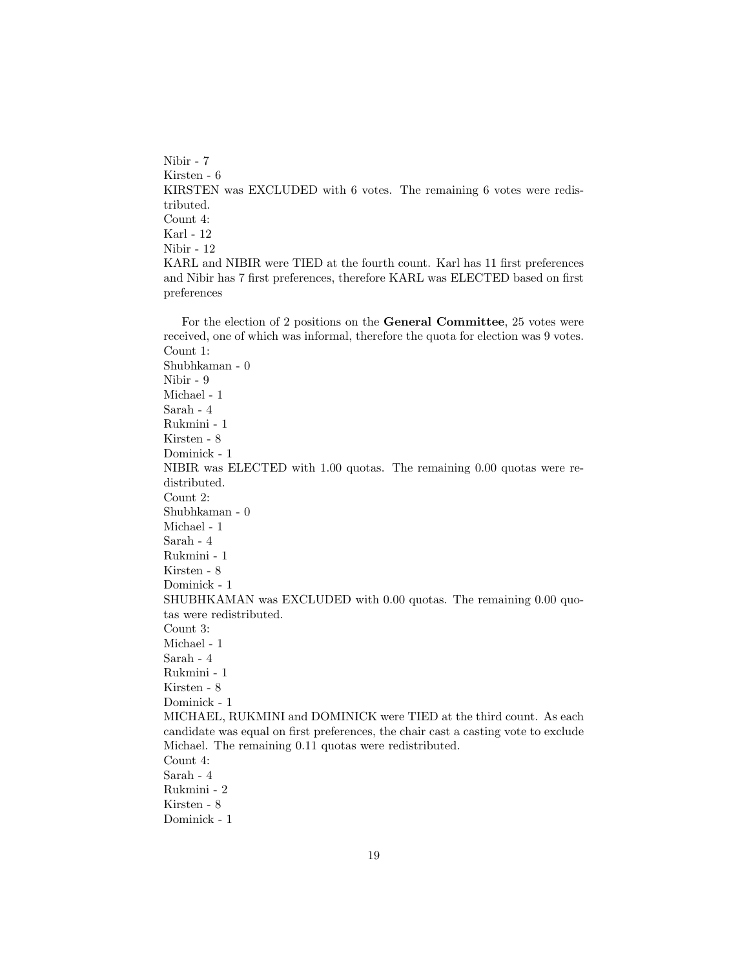Nibir - 7 Kirsten - 6 KIRSTEN was EXCLUDED with 6 votes. The remaining 6 votes were redistributed. Count 4: Karl - 12 Nibir - 12 KARL and NIBIR were TIED at the fourth count. Karl has 11 first preferences and Nibir has 7 first preferences, therefore KARL was ELECTED based on first preferences

For the election of 2 positions on the General Committee, 25 votes were received, one of which was informal, therefore the quota for election was 9 votes. Count 1: Shubhkaman - 0 Nibir - 9 Michael - 1 Sarah - 4 Rukmini - 1 Kirsten - 8 Dominick - 1 NIBIR was ELECTED with 1.00 quotas. The remaining 0.00 quotas were redistributed. Count 2: Shubhkaman - 0 Michael - 1 Sarah - 4 Rukmini - 1 Kirsten - 8 Dominick - 1 SHUBHKAMAN was EXCLUDED with 0.00 quotas. The remaining 0.00 quotas were redistributed. Count 3: Michael - 1 Sarah - 4 Rukmini - 1 Kirsten - 8 Dominick - 1 MICHAEL, RUKMINI and DOMINICK were TIED at the third count. As each candidate was equal on first preferences, the chair cast a casting vote to exclude Michael. The remaining 0.11 quotas were redistributed. Count 4: Sarah - 4 Rukmini - 2 Kirsten - 8 Dominick - 1